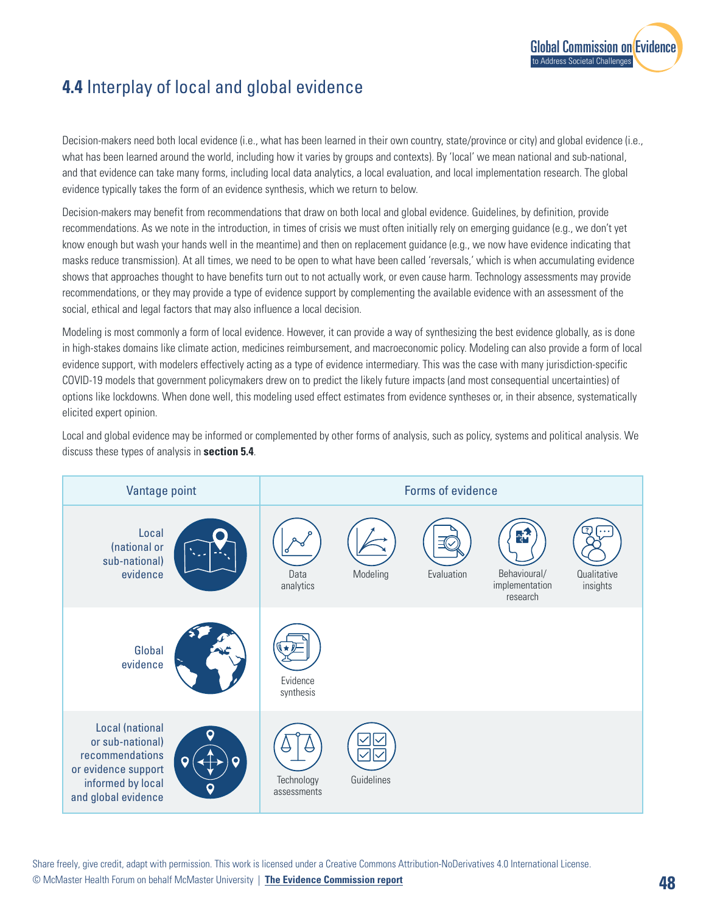

## **4.4** Interplay of local and global evidence

Decision-makers need both local evidence (i.e., what has been learned in their own country, state/province or city) and global evidence (i.e., what has been learned around the world, including how it varies by groups and contexts). By 'local' we mean national and sub-national, and that evidence can take many forms, including local data analytics, a local evaluation, and local implementation research. The global evidence typically takes the form of an evidence synthesis, which we return to below.

Decision-makers may benefit from recommendations that draw on both local and global evidence. Guidelines, by definition, provide recommendations. As we note in the introduction, in times of crisis we must often initially rely on emerging guidance (e.g., we don't yet know enough but wash your hands well in the meantime) and then on replacement guidance (e.g., we now have evidence indicating that masks reduce transmission). At all times, we need to be open to what have been called 'reversals,' which is when accumulating evidence shows that approaches thought to have benefits turn out to not actually work, or even cause harm. Technology assessments may provide recommendations, or they may provide a type of evidence support by complementing the available evidence with an assessment of the social, ethical and legal factors that may also influence a local decision.

Modeling is most commonly a form of local evidence. However, it can provide a way of synthesizing the best evidence globally, as is done in high-stakes domains like climate action, medicines reimbursement, and macroeconomic policy. Modeling can also provide a form of local evidence support, with modelers effectively acting as a type of evidence intermediary. This was the case with many jurisdiction-specific COVID-19 models that government policymakers drew on to predict the likely future impacts (and most consequential uncertainties) of options like lockdowns. When done well, this modeling used effect estimates from evidence syntheses or, in their absence, systematically elicited expert opinion.

Local and global evidence may be informed or complemented by other forms of analysis, such as policy, systems and political analysis. We discuss these types of analysis in **section 5.4**.

| Vantage point                                                                                                                                                                     | Forms of evidence                                                                                                                     |
|-----------------------------------------------------------------------------------------------------------------------------------------------------------------------------------|---------------------------------------------------------------------------------------------------------------------------------------|
| Local<br>(national or<br>sub-national)<br>evidence                                                                                                                                | $\frac{1}{4}$<br>Modeling<br>Behavioural/<br>Qualitative<br>Data<br>Evaluation<br>implementation<br>analytics<br>insights<br>research |
| Global<br>evidence                                                                                                                                                                | Evidence<br>synthesis                                                                                                                 |
| Local (national<br>O<br>or sub-national)<br>recommendations<br>$\boldsymbol{Q}$<br>$\mathbf Q$<br>or evidence support<br>informed by local<br>$\mathsf{o}$<br>and global evidence | Guidelines<br>Technology<br>assessments                                                                                               |

Share freely, give credit, adapt with permission. This work is licensed under a Creative Commons Attribution-NoDerivatives 4.0 International License.